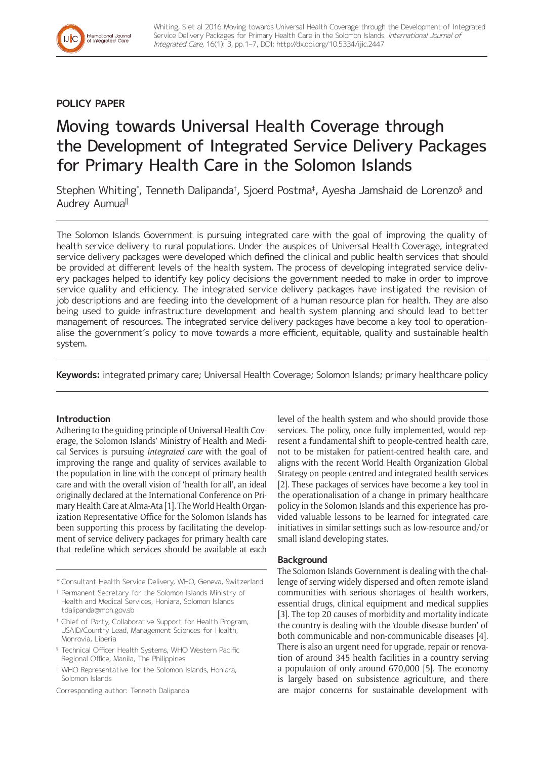## **POLICY PAPER**

# Moving towards Universal Health Coverage through the Development of Integrated Service Delivery Packages for Primary Health Care in the Solomon Islands

Stephen Whiting\*, Tenneth Dalipanda†, Sjoerd Postma‡, Ayesha Jamshaid de Lorenzo§ and Audrey Aumua<sup>ǁ</sup>

The Solomon Islands Government is pursuing integrated care with the goal of improving the quality of health service delivery to rural populations. Under the auspices of Universal Health Coverage, integrated service delivery packages were developed which defined the clinical and public health services that should be provided at different levels of the health system. The process of developing integrated service delivery packages helped to identify key policy decisions the government needed to make in order to improve service quality and efficiency. The integrated service delivery packages have instigated the revision of job descriptions and are feeding into the development of a human resource plan for health. They are also being used to guide infrastructure development and health system planning and should lead to better management of resources. The integrated service delivery packages have become a key tool to operationalise the government's policy to move towards a more efficient, equitable, quality and sustainable health system.

**Keywords:** integrated primary care; Universal Health Coverage; Solomon Islands; primary healthcare policy

### **Introduction**

Adhering to the guiding principle of Universal Health Coverage, the Solomon Islands' Ministry of Health and Medical Services is pursuing *integrated care* with the goal of improving the range and quality of services available to the population in line with the concept of primary health care and with the overall vision of 'health for all', an ideal originally declared at the International Conference on Primary Health Care at Alma-Ata [1]. The World Health Organization Representative Office for the Solomon Islands has been supporting this process by facilitating the development of service delivery packages for primary health care that redefine which services should be available at each

- \* Consultant Health Service Delivery, WHO, Geneva, Switzerland
- † Permanent Secretary for the Solomon Islands Ministry of Health and Medical Services, Honiara, Solomon Islands [tdalipanda@moh.gov.sb](mailto:tdalipanda@moh.gov.sb)
- ‡ Chief of Party, Collaborative Support for Health Program, USAID/Country Lead, Management Sciences for Health, Monrovia, Liberia
- § Technical Officer Health Systems, WHO Western Pacific Regional Office, Manila, The Philippines
- <sup>ǁ</sup> WHO Representative for the Solomon Islands, Honiara, Solomon Islands

Corresponding author: Tenneth Dalipanda

level of the health system and who should provide those services. The policy, once fully implemented, would represent a fundamental shift to people-centred health care, not to be mistaken for patient-centred health care, and aligns with the recent World Health Organization Global Strategy on people-centred and integrated health services [2]. These packages of services have become a key tool in the operationalisation of a change in primary healthcare policy in the Solomon Islands and this experience has provided valuable lessons to be learned for integrated care initiatives in similar settings such as low-resource and/or small island developing states.

#### **Background**

The Solomon Islands Government is dealing with the challenge of serving widely dispersed and often remote island communities with serious shortages of health workers, essential drugs, clinical equipment and medical supplies [3]. The top 20 causes of morbidity and mortality indicate the country is dealing with the 'double disease burden' of both communicable and non-communicable diseases [4]. There is also an urgent need for upgrade, repair or renovation of around 345 health facilities in a country serving a population of only around 670,000 [5]. The economy is largely based on subsistence agriculture, and there are major concerns for sustainable development with

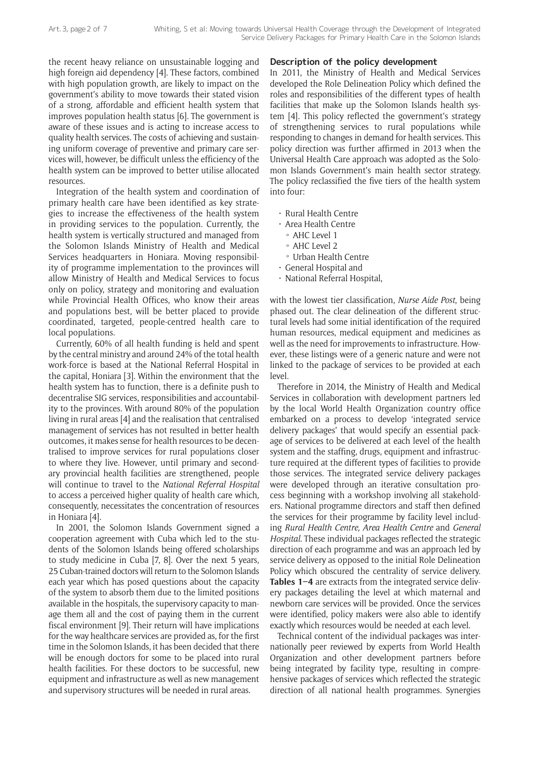the recent heavy reliance on unsustainable logging and high foreign aid dependency [4]. These factors, combined with high population growth, are likely to impact on the government's ability to move towards their stated vision of a strong, affordable and efficient health system that improves population health status [6]. The government is aware of these issues and is acting to increase access to quality health services. The costs of achieving and sustaining uniform coverage of preventive and primary care services will, however, be difficult unless the efficiency of the health system can be improved to better utilise allocated resources.

Integration of the health system and coordination of primary health care have been identified as key strategies to increase the effectiveness of the health system in providing services to the population. Currently, the health system is vertically structured and managed from the Solomon Islands Ministry of Health and Medical Services headquarters in Honiara. Moving responsibility of programme implementation to the provinces will allow Ministry of Health and Medical Services to focus only on policy, strategy and monitoring and evaluation while Provincial Health Offices, who know their areas and populations best, will be better placed to provide coordinated, targeted, people-centred health care to local populations.

Currently, 60% of all health funding is held and spent by the central ministry and around 24% of the total health work-force is based at the National Referral Hospital in the capital, Honiara [3]. Within the environment that the health system has to function, there is a definite push to decentralise SIG services, responsibilities and accountability to the provinces. With around 80% of the population living in rural areas [4] and the realisation that centralised management of services has not resulted in better health outcomes, it makes sense for health resources to be decentralised to improve services for rural populations closer to where they live. However, until primary and secondary provincial health facilities are strengthened, people will continue to travel to the *National Referral Hospital*  to access a perceived higher quality of health care which, consequently, necessitates the concentration of resources in Honiara [4].

In 2001, the Solomon Islands Government signed a cooperation agreement with Cuba which led to the students of the Solomon Islands being offered scholarships to study medicine in Cuba [7, 8]. Over the next 5 years, 25 Cuban-trained doctors will return to the Solomon Islands each year which has posed questions about the capacity of the system to absorb them due to the limited positions available in the hospitals, the supervisory capacity to manage them all and the cost of paying them in the current fiscal environment [9]. Their return will have implications for the way healthcare services are provided as, for the first time in the Solomon Islands, it has been decided that there will be enough doctors for some to be placed into rural health facilities. For these doctors to be successful, new equipment and infrastructure as well as new management and supervisory structures will be needed in rural areas.

#### **Description of the policy development**

In 2011, the Ministry of Health and Medical Services developed the Role Delineation Policy which defined the roles and responsibilities of the different types of health facilities that make up the Solomon Islands health system [4]. This policy reflected the government's strategy of strengthening services to rural populations while responding to changes in demand for health services. This policy direction was further affirmed in 2013 when the Universal Health Care approach was adopted as the Solomon Islands Government's main health sector strategy. The policy reclassified the five tiers of the health system into four:

- Rural Health Centre
- Area Health Centre
	- º AHC Level 1
	- º AHC Level 2
- º Urban Health Centre
- General Hospital and
- National Referral Hospital,

with the lowest tier classification, *Nurse Aide Post*, being phased out. The clear delineation of the different structural levels had some initial identification of the required human resources, medical equipment and medicines as well as the need for improvements to infrastructure. However, these listings were of a generic nature and were not linked to the package of services to be provided at each level.

Therefore in 2014, the Ministry of Health and Medical Services in collaboration with development partners led by the local World Health Organization country office embarked on a process to develop 'integrated service delivery packages' that would specify an essential package of services to be delivered at each level of the health system and the staffing, drugs, equipment and infrastructure required at the different types of facilities to provide those services. The integrated service delivery packages were developed through an iterative consultation process beginning with a workshop involving all stakeholders. National programme directors and staff then defined the services for their programme by facility level including *Rural Health Centre, Area Health Centre* and *General Hospital*. These individual packages reflected the strategic direction of each programme and was an approach led by service delivery as opposed to the initial Role Delineation Policy which obscured the centrality of service delivery. **Tables 1–4** are extracts from the integrated service delivery packages detailing the level at which maternal and newborn care services will be provided. Once the services were identified, policy makers were also able to identify exactly which resources would be needed at each level.

Technical content of the individual packages was internationally peer reviewed by experts from World Health Organization and other development partners before being integrated by facility type, resulting in comprehensive packages of services which reflected the strategic direction of all national health programmes. Synergies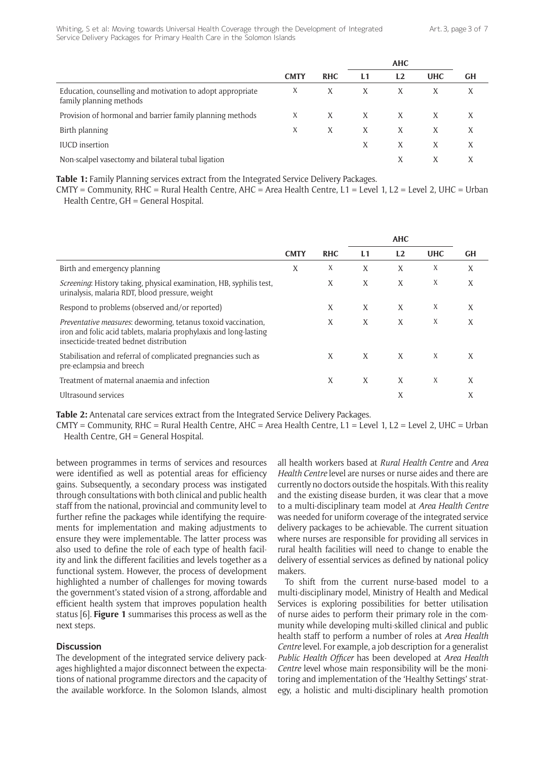|                                                                                       |             |            |    | <b>AHC</b> |            |           |  |
|---------------------------------------------------------------------------------------|-------------|------------|----|------------|------------|-----------|--|
|                                                                                       | <b>CMTY</b> | <b>RHC</b> | L1 | L2         | <b>UHC</b> | <b>GH</b> |  |
| Education, counselling and motivation to adopt appropriate<br>family planning methods | X           | X          | X  | X          |            |           |  |
| Provision of hormonal and barrier family planning methods                             | X           | X          | X  | X          |            |           |  |
| Birth planning                                                                        | X           | X          | X  | X          | X          |           |  |
| <b>IUCD</b> insertion                                                                 |             |            | X  | X          | X          | X         |  |
| Non-scalpel vasectomy and bilateral tubal ligation                                    |             |            |    | Χ          |            |           |  |

**Table 1:** Family Planning services extract from the Integrated Service Delivery Packages.

 $CMTY = Community$ , RHC = Rural Health Centre, AHC = Area Health Centre, L1 = Level 1, L2 = Level 2, UHC = Urban Health Centre, GH = General Hospital.

|                                                                                                                                                                                      | <b>CMTY</b> | <b>RHC</b> | L1 | L2 | <b>UHC</b> | <b>GH</b> |
|--------------------------------------------------------------------------------------------------------------------------------------------------------------------------------------|-------------|------------|----|----|------------|-----------|
| Birth and emergency planning                                                                                                                                                         | X           | X          | X  | X  | X          | X         |
| Screening: History taking, physical examination, HB, syphilis test,<br>urinalysis, malaria RDT, blood pressure, weight                                                               |             | X          | X  | X  | X          | X         |
| Respond to problems (observed and/or reported)                                                                                                                                       |             | X          | X  | X  | X          | X         |
| <i>Preventative measures:</i> deworming, tetanus toxoid vaccination,<br>iron and folic acid tablets, malaria prophylaxis and long-lasting<br>insecticide-treated bednet distribution |             | X          | X  | X  | X          | X         |
| Stabilisation and referral of complicated pregnancies such as<br>pre-eclampsia and breech                                                                                            |             | X          | X  | X  | X          | X         |
| Treatment of maternal anaemia and infection                                                                                                                                          |             | X          | X  | X  | X          | X         |
| Ultrasound services                                                                                                                                                                  |             |            |    | X  |            | X         |

**Table 2:** Antenatal care services extract from the Integrated Service Delivery Packages.

 $CMTY = Community$ , RHC = Rural Health Centre, AHC = Area Health Centre, L1 = Level 1, L2 = Level 2, UHC = Urban Health Centre, GH = General Hospital.

between programmes in terms of services and resources were identified as well as potential areas for efficiency gains. Subsequently, a secondary process was instigated through consultations with both clinical and public health staff from the national, provincial and community level to further refine the packages while identifying the requirements for implementation and making adjustments to ensure they were implementable. The latter process was also used to define the role of each type of health facility and link the different facilities and levels together as a functional system. However, the process of development highlighted a number of challenges for moving towards the government's stated vision of a strong, affordable and efficient health system that improves population health status [6]. **Figure 1** summarises this process as well as the next steps.

#### **Discussion**

The development of the integrated service delivery packages highlighted a major disconnect between the expectations of national programme directors and the capacity of the available workforce. In the Solomon Islands, almost all health workers based at *Rural Health Centre* and *Area Health Centre* level are nurses or nurse aides and there are currently no doctors outside the hospitals. With this reality and the existing disease burden, it was clear that a move to a multi-disciplinary team model at *Area Health Centre*  was needed for uniform coverage of the integrated service delivery packages to be achievable. The current situation where nurses are responsible for providing all services in rural health facilities will need to change to enable the delivery of essential services as defined by national policy makers.

To shift from the current nurse-based model to a multi-disciplinary model, Ministry of Health and Medical Services is exploring possibilities for better utilisation of nurse aides to perform their primary role in the community while developing multi-skilled clinical and public health staff to perform a number of roles at *Area Health Centre* level. For example, a job description for a generalist *Public Health Officer* has been developed at *Area Health Centre* level whose main responsibility will be the monitoring and implementation of the 'Healthy Settings' strategy, a holistic and multi-disciplinary health promotion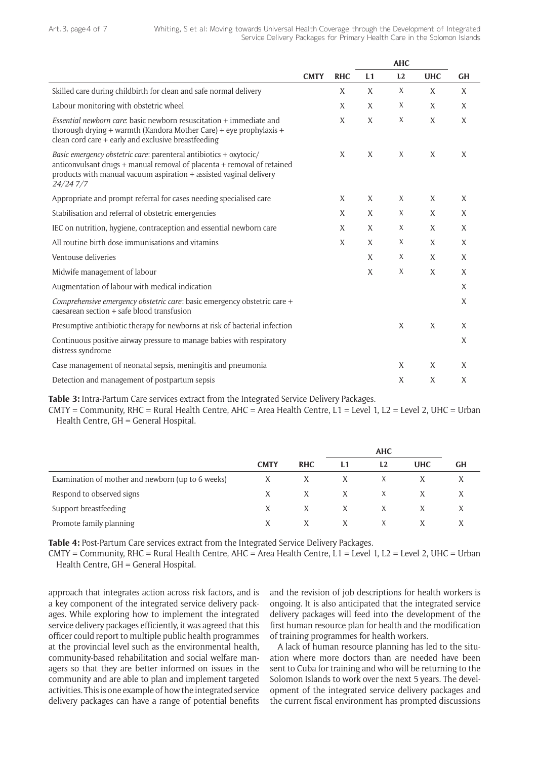|                                                                                                                                                                                                                                  |             | <b>AHC</b> |    |    |            |           |  |  |
|----------------------------------------------------------------------------------------------------------------------------------------------------------------------------------------------------------------------------------|-------------|------------|----|----|------------|-----------|--|--|
|                                                                                                                                                                                                                                  | <b>CMTY</b> | <b>RHC</b> | L1 | L2 | <b>UHC</b> | <b>GH</b> |  |  |
| Skilled care during childbirth for clean and safe normal delivery                                                                                                                                                                |             | X          | X  | X  | X          | X         |  |  |
| Labour monitoring with obstetric wheel                                                                                                                                                                                           |             | X          | X  | X  | X          | X         |  |  |
| <i>Essential newborn care:</i> basic newborn resuscitation + immediate and<br>thorough drying + warmth (Kandora Mother Care) + eye prophylaxis +<br>clean cord care + early and exclusive breastfeeding                          |             | X          | X  | X  | X          | X         |  |  |
| Basic emergency obstetric care: parenteral antibiotics + oxytocic/<br>anticonvulsant drugs + manual removal of placenta + removal of retained<br>products with manual vacuum aspiration + assisted vaginal delivery<br>24/24 7/7 |             | X          | X  | X  | X          | X         |  |  |
| Appropriate and prompt referral for cases needing specialised care                                                                                                                                                               |             | X          | X  | X  | X          | X         |  |  |
| Stabilisation and referral of obstetric emergencies                                                                                                                                                                              |             | X          | X  | X  | X          | X         |  |  |
| IEC on nutrition, hygiene, contraception and essential newborn care                                                                                                                                                              |             | X          | X  | X  | X          | X         |  |  |
| All routine birth dose immunisations and vitamins                                                                                                                                                                                |             | X          | X  | X  | X          | X         |  |  |
| Ventouse deliveries                                                                                                                                                                                                              |             |            | X  | X  | X          | X         |  |  |
| Midwife management of labour                                                                                                                                                                                                     |             |            | X  | X  | X          | X         |  |  |
| Augmentation of labour with medical indication                                                                                                                                                                                   |             |            |    |    |            | X         |  |  |
| Comprehensive emergency obstetric care: basic emergency obstetric care +<br>caesarean section + safe blood transfusion                                                                                                           |             |            |    |    |            | X         |  |  |
| Presumptive antibiotic therapy for newborns at risk of bacterial infection                                                                                                                                                       |             |            |    | X  | X          | X         |  |  |
| Continuous positive airway pressure to manage babies with respiratory<br>distress syndrome                                                                                                                                       |             |            |    |    |            | X         |  |  |
| Case management of neonatal sepsis, meningitis and pneumonia                                                                                                                                                                     |             |            |    | X  | X          | X         |  |  |
| Detection and management of postpartum sepsis                                                                                                                                                                                    |             |            |    | X  | X          | X         |  |  |

**Table 3:** Intra-Partum Care services extract from the Integrated Service Delivery Packages.

CMTY = Community, RHC = Rural Health Centre, AHC = Area Health Centre, L1 = Level 1, L2 = Level 2, UHC = Urban Health Centre, GH = General Hospital.

|                                                   |             |            |    | <b>AHC</b> |            |           |
|---------------------------------------------------|-------------|------------|----|------------|------------|-----------|
|                                                   | <b>CMTY</b> | <b>RHC</b> | L1 | L2         | <b>UHC</b> | <b>GH</b> |
| Examination of mother and newborn (up to 6 weeks) |             | X          | X  | X          |            |           |
| Respond to observed signs                         | X           | X          | X  | X          | X          |           |
| Support breastfeeding                             | X           | X          | X  | X          |            |           |
| Promote family planning                           | X           | X          | X  | X          |            |           |

**Table 4:** Post-Partum Care services extract from the Integrated Service Delivery Packages.

CMTY = Community, RHC = Rural Health Centre, AHC = Area Health Centre, L1 = Level 1, L2 = Level 2, UHC = Urban Health Centre, GH = General Hospital.

approach that integrates action across risk factors, and is a key component of the integrated service delivery packages. While exploring how to implement the integrated service delivery packages efficiently, it was agreed that this officer could report to multiple public health programmes at the provincial level such as the environmental health, community-based rehabilitation and social welfare managers so that they are better informed on issues in the community and are able to plan and implement targeted activities. This is one example of how the integrated service delivery packages can have a range of potential benefits

and the revision of job descriptions for health workers is ongoing. It is also anticipated that the integrated service delivery packages will feed into the development of the first human resource plan for health and the modification of training programmes for health workers.

A lack of human resource planning has led to the situation where more doctors than are needed have been sent to Cuba for training and who will be returning to the Solomon Islands to work over the next 5 years. The development of the integrated service delivery packages and the current fiscal environment has prompted discussions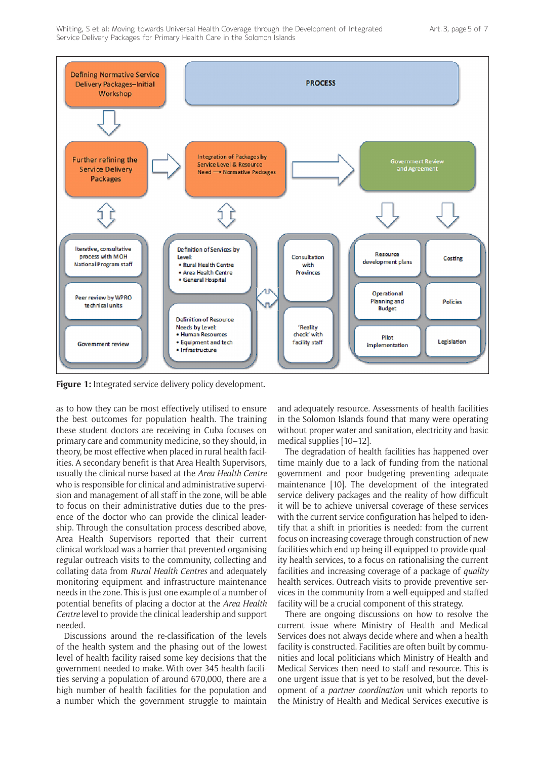

**Figure 1:** Integrated service delivery policy development.

as to how they can be most effectively utilised to ensure the best outcomes for population health. The training these student doctors are receiving in Cuba focuses on primary care and community medicine, so they should, in theory, be most effective when placed in rural health facilities. A secondary benefit is that Area Health Supervisors, usually the clinical nurse based at the *Area Health Centre* who is responsible for clinical and administrative supervision and management of all staff in the zone, will be able to focus on their administrative duties due to the presence of the doctor who can provide the clinical leadership. Through the consultation process described above, Area Health Supervisors reported that their current clinical workload was a barrier that prevented organising regular outreach visits to the community, collecting and collating data from *Rural Health Centres* and adequately monitoring equipment and infrastructure maintenance needs in the zone. This is just one example of a number of potential benefits of placing a doctor at the *Area Health Centre* level to provide the clinical leadership and support needed.

Discussions around the re-classification of the levels of the health system and the phasing out of the lowest level of health facility raised some key decisions that the government needed to make. With over 345 health facilities serving a population of around 670,000, there are a high number of health facilities for the population and a number which the government struggle to maintain and adequately resource. Assessments of health facilities in the Solomon Islands found that many were operating without proper water and sanitation, electricity and basic medical supplies [10–12].

The degradation of health facilities has happened over time mainly due to a lack of funding from the national government and poor budgeting preventing adequate maintenance [10]. The development of the integrated service delivery packages and the reality of how difficult it will be to achieve universal coverage of these services with the current service configuration has helped to identify that a shift in priorities is needed: from the current focus on increasing coverage through construction of new facilities which end up being ill-equipped to provide quality health services, to a focus on rationalising the current facilities and increasing coverage of a package of *quality* health services. Outreach visits to provide preventive services in the community from a well-equipped and staffed facility will be a crucial component of this strategy.

There are ongoing discussions on how to resolve the current issue where Ministry of Health and Medical Services does not always decide where and when a health facility is constructed. Facilities are often built by communities and local politicians which Ministry of Health and Medical Services then need to staff and resource. This is one urgent issue that is yet to be resolved, but the development of a *partner coordination* unit which reports to the Ministry of Health and Medical Services executive is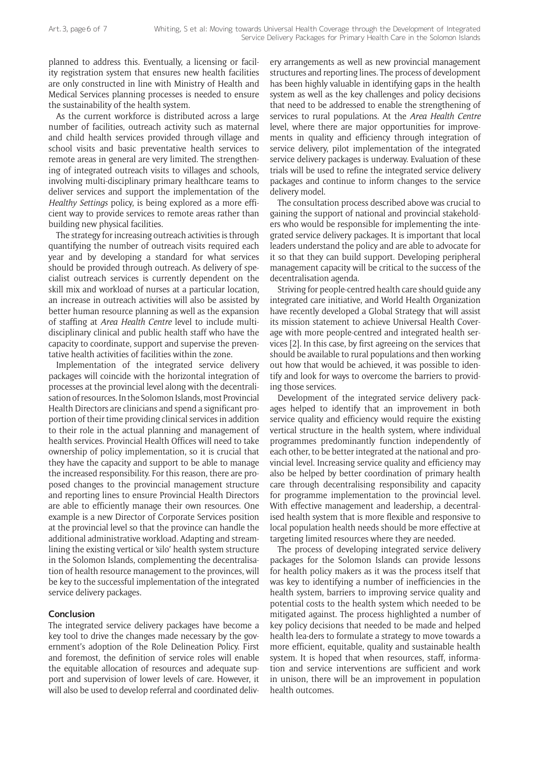planned to address this. Eventually, a licensing or facility registration system that ensures new health facilities are only constructed in line with Ministry of Health and Medical Services planning processes is needed to ensure the sustainability of the health system.

As the current workforce is distributed across a large number of facilities, outreach activity such as maternal and child health services provided through village and school visits and basic preventative health services to remote areas in general are very limited. The strengthening of integrated outreach visits to villages and schools, involving multi-disciplinary primary healthcare teams to deliver services and support the implementation of the *Healthy Settings* policy, is being explored as a more efficient way to provide services to remote areas rather than building new physical facilities.

The strategy for increasing outreach activities is through quantifying the number of outreach visits required each year and by developing a standard for what services should be provided through outreach. As delivery of specialist outreach services is currently dependent on the skill mix and workload of nurses at a particular location, an increase in outreach activities will also be assisted by better human resource planning as well as the expansion of staffing at *Area Health Centre* level to include multidisciplinary clinical and public health staff who have the capacity to coordinate, support and supervise the preventative health activities of facilities within the zone.

Implementation of the integrated service delivery packages will coincide with the horizontal integration of processes at the provincial level along with the decentralisation of resources. In the Solomon Islands, most Provincial Health Directors are clinicians and spend a significant proportion of their time providing clinical services in addition to their role in the actual planning and management of health services. Provincial Health Offices will need to take ownership of policy implementation, so it is crucial that they have the capacity and support to be able to manage the increased responsibility. For this reason, there are proposed changes to the provincial management structure and reporting lines to ensure Provincial Health Directors are able to efficiently manage their own resources. One example is a new Director of Corporate Services position at the provincial level so that the province can handle the additional administrative workload. Adapting and streamlining the existing vertical or 'silo' health system structure in the Solomon Islands, complementing the decentralisation of health resource management to the provinces, will be key to the successful implementation of the integrated service delivery packages.

#### **Conclusion**

The integrated service delivery packages have become a key tool to drive the changes made necessary by the government's adoption of the Role Delineation Policy. First and foremost, the definition of service roles will enable the equitable allocation of resources and adequate support and supervision of lower levels of care. However, it will also be used to develop referral and coordinated deliv-

ery arrangements as well as new provincial management structures and reporting lines. The process of development has been highly valuable in identifying gaps in the health system as well as the key challenges and policy decisions that need to be addressed to enable the strengthening of services to rural populations. At the *Area Health Centre* level, where there are major opportunities for improvements in quality and efficiency through integration of service delivery, pilot implementation of the integrated service delivery packages is underway. Evaluation of these trials will be used to refine the integrated service delivery packages and continue to inform changes to the service delivery model.

The consultation process described above was crucial to gaining the support of national and provincial stakeholders who would be responsible for implementing the integrated service delivery packages. It is important that local leaders understand the policy and are able to advocate for it so that they can build support. Developing peripheral management capacity will be critical to the success of the decentralisation agenda.

Striving for people-centred health care should guide any integrated care initiative, and World Health Organization have recently developed a Global Strategy that will assist its mission statement to achieve Universal Health Coverage with more people-centred and integrated health services [2]. In this case, by first agreeing on the services that should be available to rural populations and then working out how that would be achieved, it was possible to identify and look for ways to overcome the barriers to providing those services.

Development of the integrated service delivery packages helped to identify that an improvement in both service quality and efficiency would require the existing vertical structure in the health system, where individual programmes predominantly function independently of each other, to be better integrated at the national and provincial level. Increasing service quality and efficiency may also be helped by better coordination of primary health care through decentralising responsibility and capacity for programme implementation to the provincial level. With effective management and leadership, a decentralised health system that is more flexible and responsive to local population health needs should be more effective at targeting limited resources where they are needed.

The process of developing integrated service delivery packages for the Solomon Islands can provide lessons for health policy makers as it was the process itself that was key to identifying a number of inefficiencies in the health system, barriers to improving service quality and potential costs to the health system which needed to be mitigated against. The process highlighted a number of key policy decisions that needed to be made and helped health lea-ders to formulate a strategy to move towards a more efficient, equitable, quality and sustainable health system. It is hoped that when resources, staff, information and service interventions are sufficient and work in unison, there will be an improvement in population health outcomes.